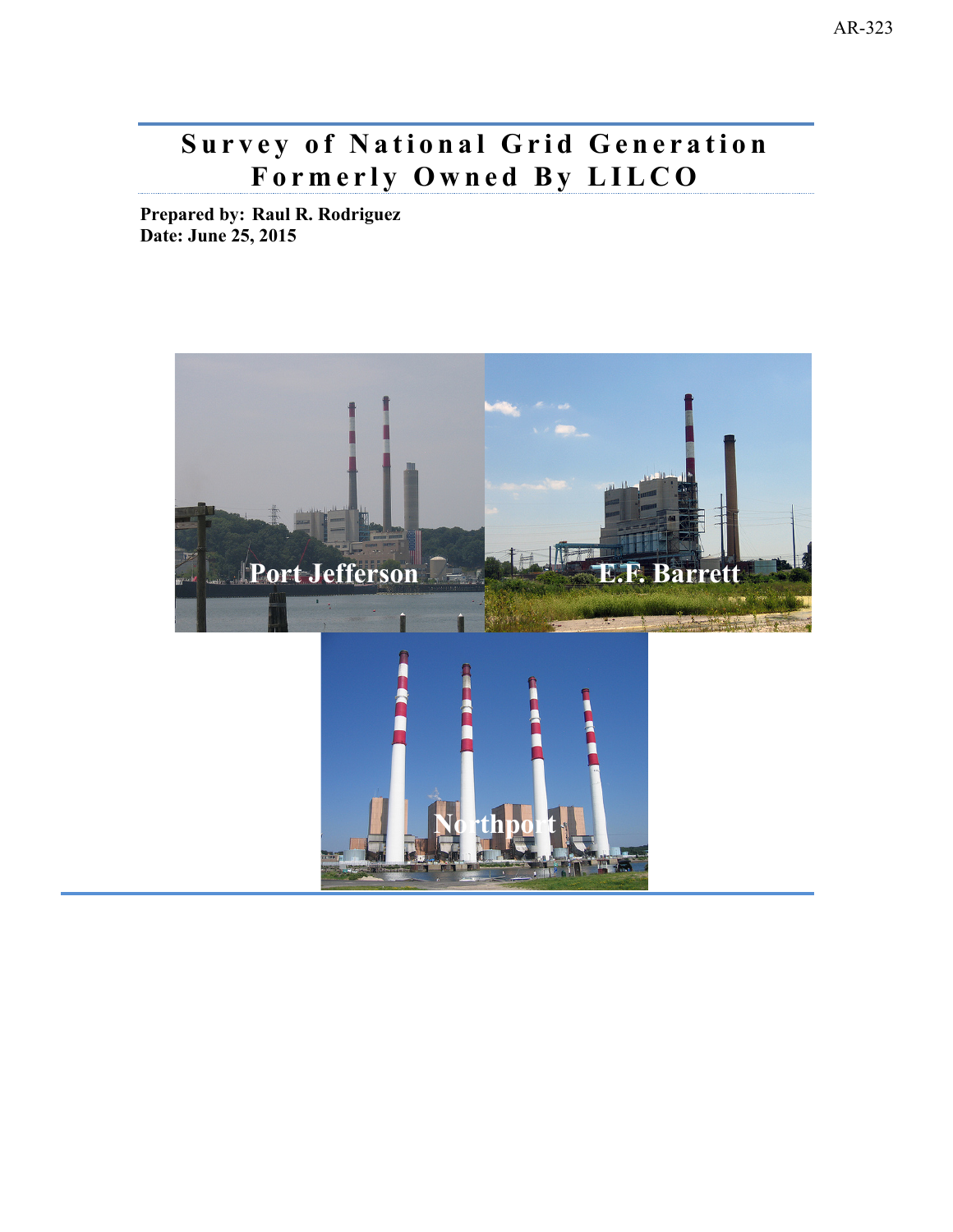# **Formerly Ow ned By LILCO Survey of National Grid Generation**

**Prepared by: Raul R. Rodriguez Date: June 25, 2015** 

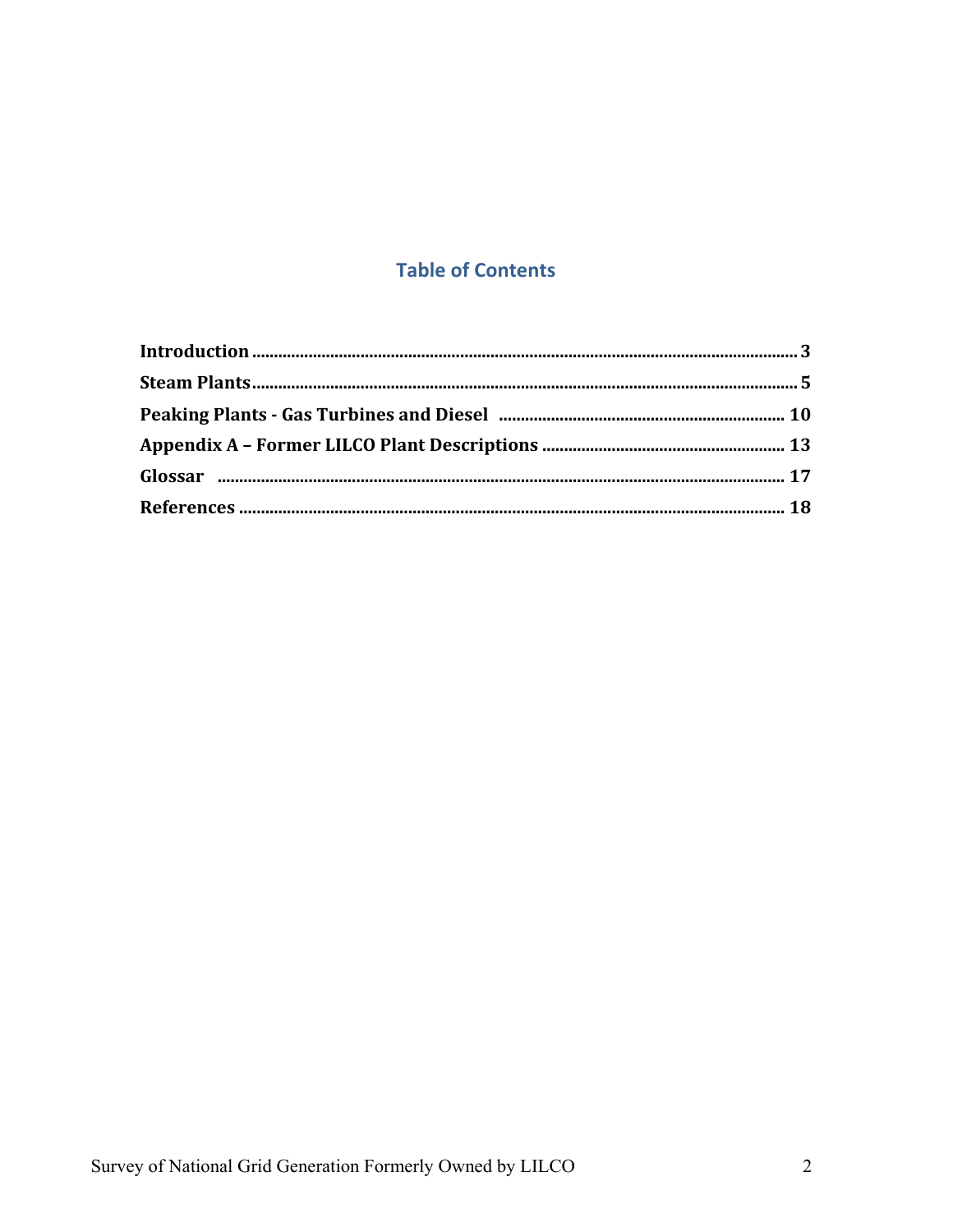# **Table of Contents**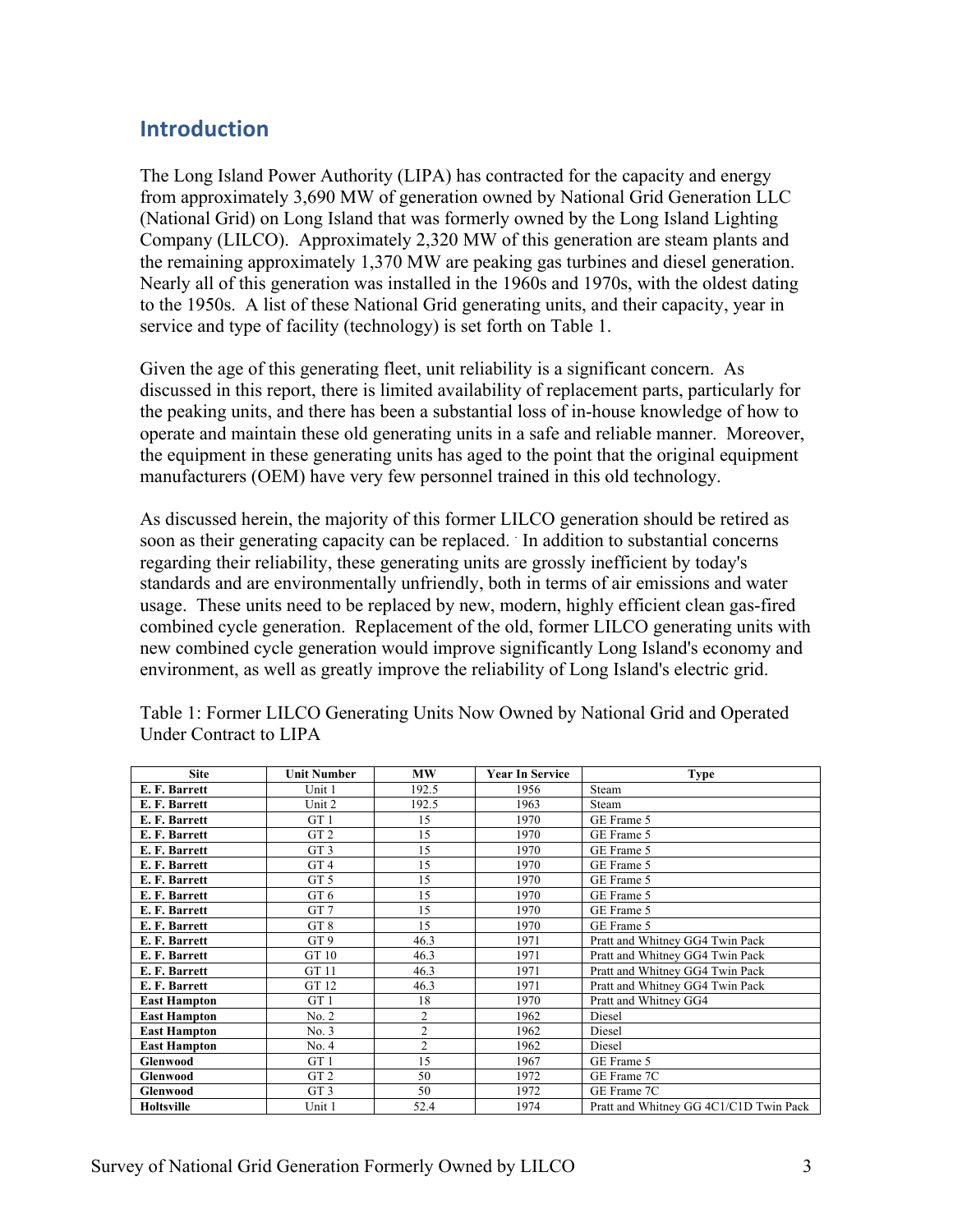# **Introduction**

The Long Island Power Authority (LIPA) has contracted for the capacity and energy from approximately 3,690 MW of generation owned by National Grid Generation LLC (National Grid) on Long Island that was formerly owned by the Long Island Lighting Company (LILCO). Approximately 2,320 MW of this generation are steam plants and the remaining approximately 1,370 MW are peaking gas turbines and diesel generation. Nearly all of this generation was installed in the 1960s and 1970s, with the oldest dating to the 1950s. A list of these National Grid generating units, and their capacity, year in service and type of facility (technology) is set forth on Table 1.

Given the age of this generating fleet, unit reliability is a significant concern. As discussed in this report, there is limited availability of replacement parts, particularly for the peaking units, and there has been a substantial loss of in-house knowledge of how to operate and maintain these old generating units in a safe and reliable manner. Moreover, the equipment in these generating units has aged to the point that the original equipment manufacturers (OEM) have very few personnel trained in this old technology.

As discussed herein, the majority of this former LILCO generation should be retired as soon as their generating capacity can be replaced. In addition to substantial concerns regarding their reliability, these generating units are grossly inefficient by today's standards and are environmentally unfriendly, both in terms of air emissions and water usage. These units need to be replaced by new, modern, highly efficient clean gas-fired combined cycle generation. Replacement of the old, former LILCO generating units with new combined cycle generation would improve significantly Long Island's economy and environment, as well as greatly improve the reliability of Long Island's electric grid.

| <b>Site</b>         | <b>Unit Number</b> | MW             | <b>Year In Service</b> | <b>Type</b>                            |
|---------------------|--------------------|----------------|------------------------|----------------------------------------|
| E. F. Barrett       | Unit 1             | 192.5          | 1956                   | Steam                                  |
| E. F. Barrett       | Unit 2             | 192.5          | 1963                   | Steam                                  |
| E. F. Barrett       | GT <sub>1</sub>    | 15             | 1970                   | GE Frame 5                             |
| E. F. Barrett       | GT <sub>2</sub>    | 15             | 1970                   | GE Frame 5                             |
| E. F. Barrett       | GT <sub>3</sub>    | 15             | 1970                   | GE Frame 5                             |
| E. F. Barrett       | GT <sub>4</sub>    | 15             | 1970                   | GE Frame 5                             |
| E. F. Barrett       | GT <sub>5</sub>    | 15             | 1970                   | GE Frame 5                             |
| E. F. Barrett       | GT <sub>6</sub>    | 15             | 1970                   | GE Frame 5                             |
| E. F. Barrett       | GT <sub>7</sub>    | 15             | 1970                   | GE Frame 5                             |
| E. F. Barrett       | GT <sub>8</sub>    | 15             | 1970                   | GE Frame 5                             |
| E. F. Barrett       | GT <sub>9</sub>    | 46.3           | 1971                   | Pratt and Whitney GG4 Twin Pack        |
| E. F. Barrett       | GT 10              | 46.3           | 1971                   | Pratt and Whitney GG4 Twin Pack        |
| E. F. Barrett       | GT 11              | 46.3           | 1971                   | Pratt and Whitney GG4 Twin Pack        |
| E. F. Barrett       | GT 12              | 46.3           | 1971                   | Pratt and Whitney GG4 Twin Pack        |
| <b>East Hampton</b> | GT <sub>1</sub>    | 18             | 1970                   | Pratt and Whitney GG4                  |
| <b>East Hampton</b> | No. 2              | $\overline{c}$ | 1962                   | Diesel                                 |
| <b>East Hampton</b> | No. 3              | $\overline{c}$ | 1962                   | Diesel                                 |
| <b>East Hampton</b> | No. 4              | $\overline{c}$ | 1962                   | Diesel                                 |
| <b>Glenwood</b>     | GT <sub>1</sub>    | 15             | 1967                   | GE Frame 5                             |
| <b>Glenwood</b>     | GT <sub>2</sub>    | 50             | 1972                   | GE Frame 7C                            |
| <b>Glenwood</b>     | GT <sub>3</sub>    | 50             | 1972                   | GE Frame 7C                            |
| Holtsville          | Unit 1             | 52.4           | 1974                   | Pratt and Whitney GG 4C1/C1D Twin Pack |

Table 1: Former LILCO Generating Units Now Owned by National Grid and Operated Under Contract to LIPA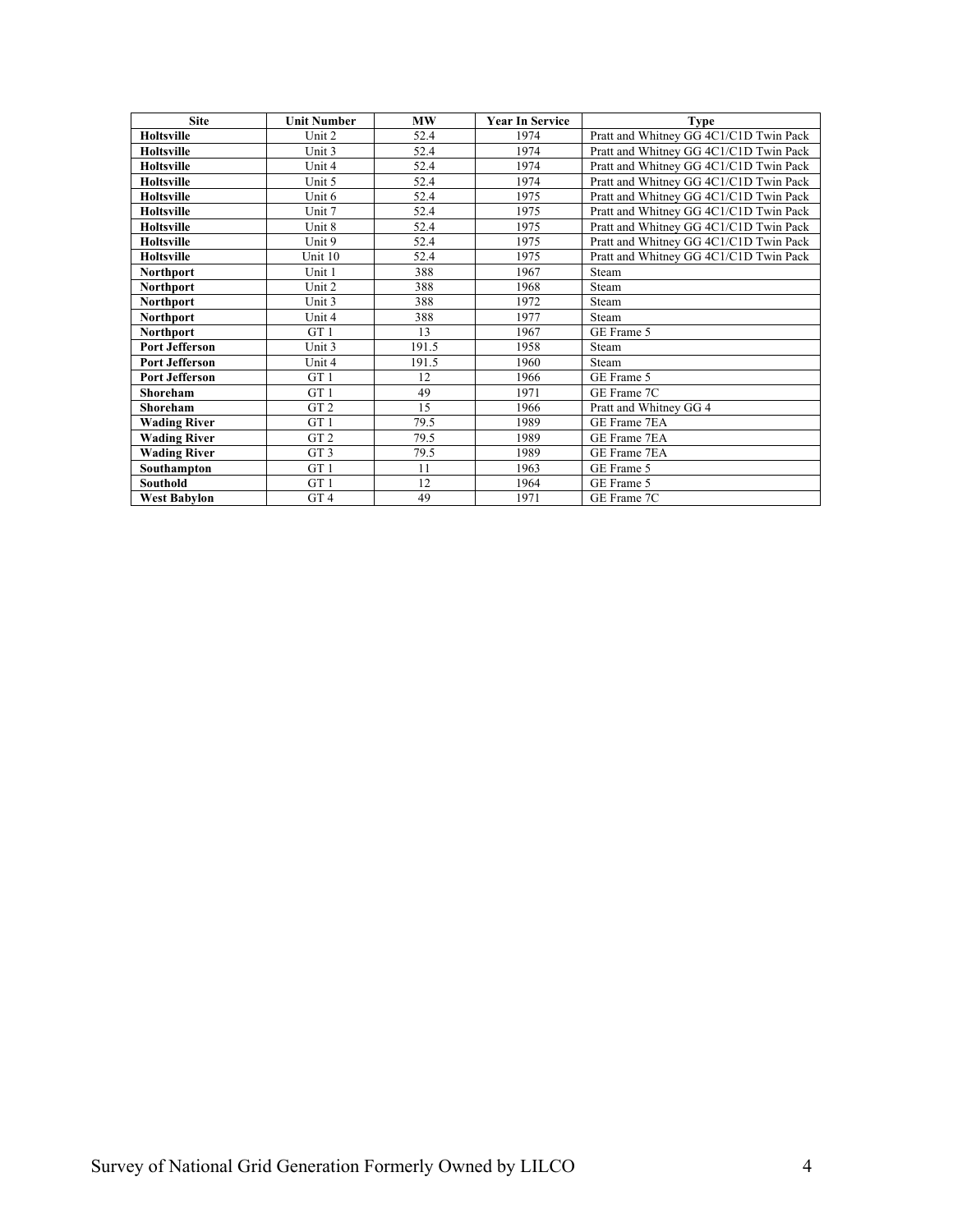| <b>Site</b>           | <b>Unit Number</b> | <b>MW</b> | <b>Year In Service</b> | <b>Type</b>                            |
|-----------------------|--------------------|-----------|------------------------|----------------------------------------|
| <b>Holtsville</b>     | Unit 2             | 52.4      | 1974                   | Pratt and Whitney GG 4C1/C1D Twin Pack |
| <b>Holtsville</b>     | Unit 3             | 52.4      | 1974                   | Pratt and Whitney GG 4C1/C1D Twin Pack |
| <b>Holtsville</b>     | Unit 4             | 52.4      | 1974                   | Pratt and Whitney GG 4C1/C1D Twin Pack |
| <b>Holtsville</b>     | Unit 5             | 52.4      | 1974                   | Pratt and Whitney GG 4C1/C1D Twin Pack |
| <b>Holtsville</b>     | Unit 6             | 52.4      | 1975                   | Pratt and Whitney GG 4C1/C1D Twin Pack |
| <b>Holtsville</b>     | Unit 7             | 52.4      | 1975                   | Pratt and Whitney GG 4C1/C1D Twin Pack |
| <b>Holtsville</b>     | Unit 8             | 52.4      | 1975                   | Pratt and Whitney GG 4C1/C1D Twin Pack |
| <b>Holtsville</b>     | Unit 9             | 52.4      | 1975                   | Pratt and Whitney GG 4C1/C1D Twin Pack |
| <b>Holtsville</b>     | Unit 10            | 52.4      | 1975                   | Pratt and Whitney GG 4C1/C1D Twin Pack |
| <b>Northport</b>      | Unit 1             | 388       | 1967                   | Steam                                  |
| <b>Northport</b>      | Unit 2             | 388       | 1968                   | Steam                                  |
| Northport             | Unit 3             | 388       | 1972                   | Steam                                  |
| <b>Northport</b>      | Unit 4             | 388       | 1977                   | Steam                                  |
| <b>Northport</b>      | GT <sub>1</sub>    | 13        | 1967                   | GE Frame 5                             |
| <b>Port Jefferson</b> | Unit 3             | 191.5     | 1958                   | Steam                                  |
| <b>Port Jefferson</b> | Unit 4             | 191.5     | 1960                   | Steam                                  |
| <b>Port Jefferson</b> | GT <sub>1</sub>    | 12        | 1966                   | GE Frame 5                             |
| Shoreham              | GT <sub>1</sub>    | 49        | 1971                   | GE Frame 7C                            |
| Shoreham              | GT <sub>2</sub>    | 15        | 1966                   | Pratt and Whitney GG 4                 |
| <b>Wading River</b>   | GT <sub>1</sub>    | 79.5      | 1989                   | GE Frame 7EA                           |
| <b>Wading River</b>   | GT <sub>2</sub>    | 79.5      | 1989                   | GE Frame 7EA                           |
| <b>Wading River</b>   | GT <sub>3</sub>    | 79.5      | 1989                   | GE Frame 7EA                           |
| Southampton           | GT <sub>1</sub>    | 11        | 1963                   | GE Frame 5                             |
| <b>Southold</b>       | GT <sub>1</sub>    | 12        | 1964                   | GE Frame 5                             |
| <b>West Babylon</b>   | GT <sub>4</sub>    | 49        | 1971                   | GE Frame 7C                            |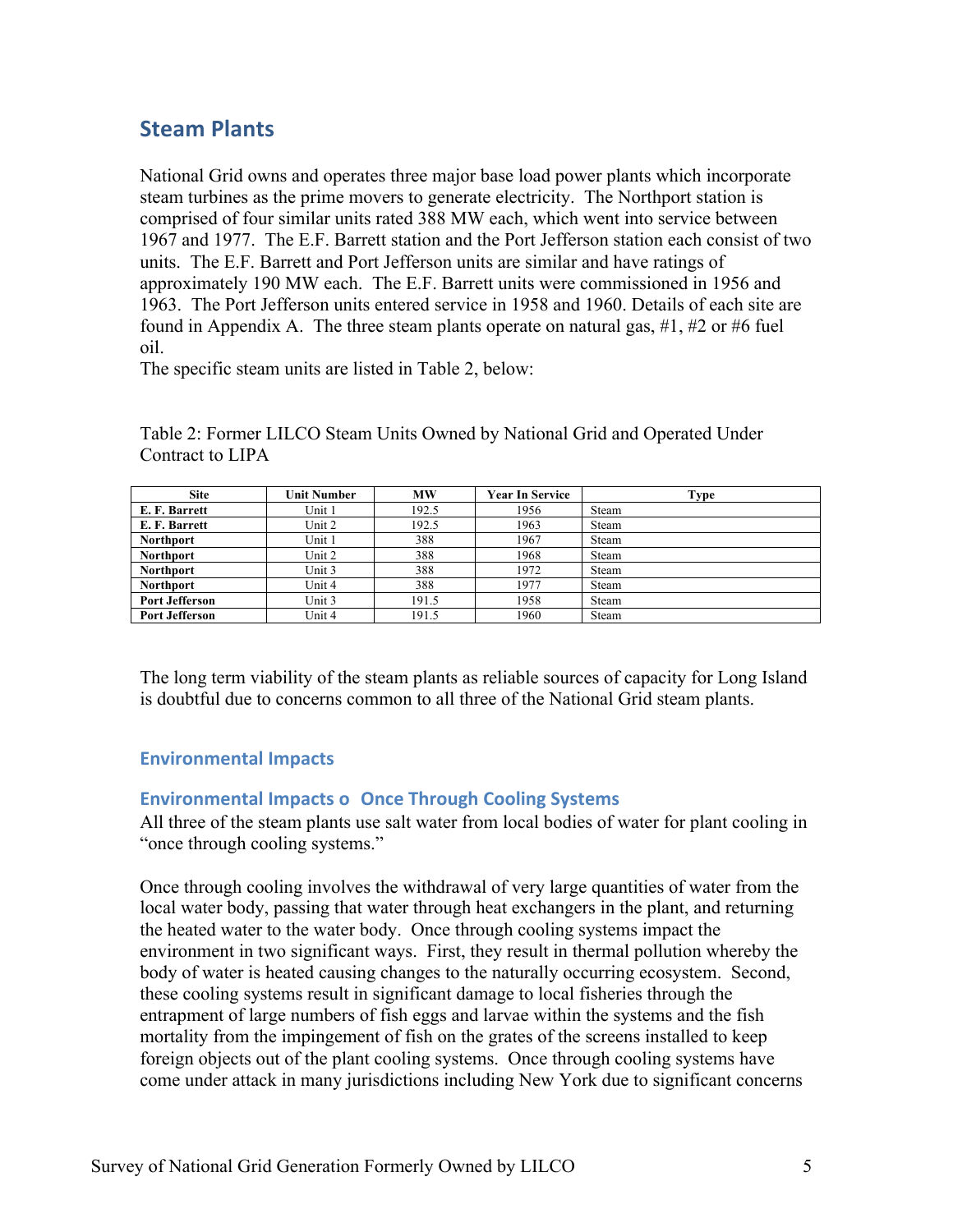# **Steam Plants**

 found in Appendix A. The three steam plants operate on natural gas, #1, #2 or #6 fuel National Grid owns and operates three major base load power plants which incorporate steam turbines as the prime movers to generate electricity. The Northport station is comprised of four similar units rated 388 MW each, which went into service between 1967 and 1977. The E.F. Barrett station and the Port Jefferson station each consist of two units. The E.F. Barrett and Port Jefferson units are similar and have ratings of approximately 190 MW each. The E.F. Barrett units were commissioned in 1956 and 1963. The Port Jefferson units entered service in 1958 and 1960. Details of each site are oil.

The specific steam units are listed in Table 2, below:

Table 2: Former LILCO Steam Units Owned by National Grid and Operated Under Contract to LIPA

| <b>Site</b>           | Unit Number | <b>MW</b> | <b>Year In Service</b> | Type  |
|-----------------------|-------------|-----------|------------------------|-------|
| E. F. Barrett         | Unit 1      | 192.5     | 1956                   | Steam |
| E. F. Barrett         | Unit 2      | 192.5     | 1963                   | Steam |
| <b>Northport</b>      | Unit 1      | 388       | 1967                   | Steam |
| <b>Northport</b>      | Unit 2      | 388       | 1968                   | Steam |
| <b>Northport</b>      | Unit 3      | 388       | 1972                   | Steam |
| <b>Northport</b>      | Unit 4      | 388       | 1977                   | Steam |
| Port Jefferson        | Unit 3      | 191.5     | 1958                   | Steam |
| <b>Port Jefferson</b> | Unit 4      | 191.5     | 1960                   | Steam |

The long term viability of the steam plants as reliable sources of capacity for Long Island is doubtful due to concerns common to all three of the National Grid steam plants.

### **Environmental Impacts**

### **Environmental Impacts o Once Through Cooling Systems**

All three of the steam plants use salt water from local bodies of water for plant cooling in "once through cooling systems."

 local water body, passing that water through heat exchangers in the plant, and returning foreign objects out of the plant cooling systems. Once through cooling systems have Once through cooling involves the withdrawal of very large quantities of water from the the heated water to the water body. Once through cooling systems impact the environment in two significant ways. First, they result in thermal pollution whereby the body of water is heated causing changes to the naturally occurring ecosystem. Second, these cooling systems result in significant damage to local fisheries through the entrapment of large numbers of fish eggs and larvae within the systems and the fish mortality from the impingement of fish on the grates of the screens installed to keep come under attack in many jurisdictions including New York due to significant concerns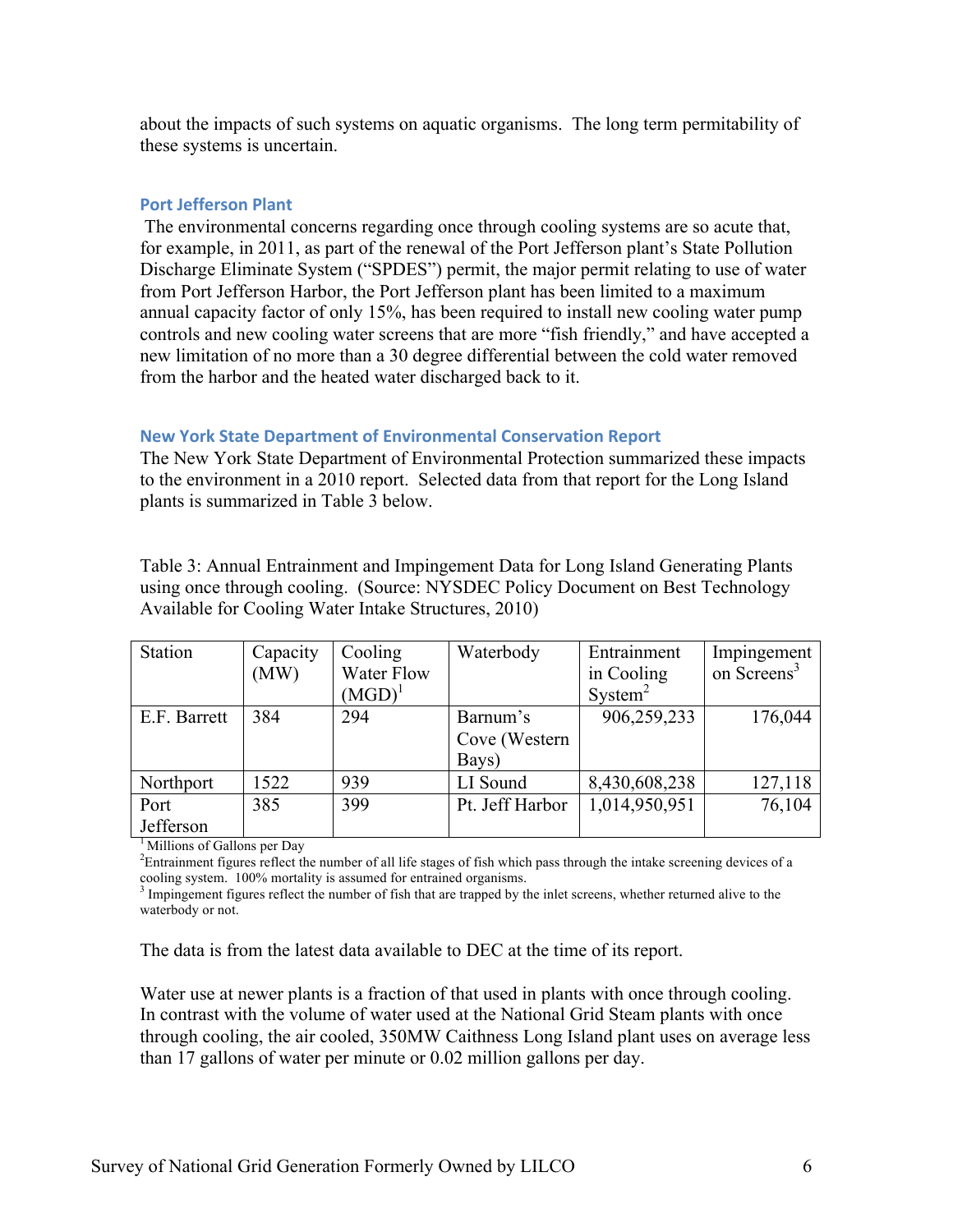about the impacts of such systems on aquatic organisms. The long term permitability of these systems is uncertain.

#### **Port Jefferson Plant**

 for example, in 2011, as part of the renewal of the Port Jefferson plant's State Pollution The environmental concerns regarding once through cooling systems are so acute that, Discharge Eliminate System ("SPDES") permit, the major permit relating to use of water from Port Jefferson Harbor, the Port Jefferson plant has been limited to a maximum annual capacity factor of only 15%, has been required to install new cooling water pump controls and new cooling water screens that are more "fish friendly," and have accepted a new limitation of no more than a 30 degree differential between the cold water removed from the harbor and the heated water discharged back to it.

#### **New York State Department of Environmental Conservation Report**

The New York State Department of Environmental Protection summarized these impacts to the environment in a 2010 report. Selected data from that report for the Long Island plants is summarized in Table 3 below.

Table 3: Annual Entrainment and Impingement Data for Long Island Generating Plants using once through cooling. (Source: NYSDEC Policy Document on Best Technology Available for Cooling Water Intake Structures, 2010)

| <b>Station</b> | Capacity | Cooling           | Waterbody       | Entrainment         | Impingement             |
|----------------|----------|-------------------|-----------------|---------------------|-------------------------|
|                | (MW)     | <b>Water Flow</b> |                 | in Cooling          | on Screens <sup>3</sup> |
|                |          | $(MGD)^{1}$       |                 | System <sup>2</sup> |                         |
| E.F. Barrett   | 384      | 294               | Barnum's        | 906,259,233         | 176,044                 |
|                |          |                   | Cove (Western   |                     |                         |
|                |          |                   | Bays)           |                     |                         |
| Northport      | 1522     | 939               | LI Sound        | 8,430,608,238       | 127,118                 |
| Port           | 385      | 399               | Pt. Jeff Harbor | 1,014,950,951       | 76,104                  |
| Jefferson      |          |                   |                 |                     |                         |

<sup>1</sup> Millions of Gallons per Day

<sup>2</sup>Entrainment figures reflect the number of all life stages of fish which pass through the intake screening devices of a

cooling system. 100% mortality is assumed for entrained organisms.<br><sup>3</sup> Impingement figures reflect the number of fish that are trapped by the inlet screens, whether returned alive to the waterbody or not.

The data is from the latest data available to DEC at the time of its report.

Water use at newer plants is a fraction of that used in plants with once through cooling. In contrast with the volume of water used at the National Grid Steam plants with once through cooling, the air cooled, 350MW Caithness Long Island plant uses on average less than 17 gallons of water per minute or 0.02 million gallons per day.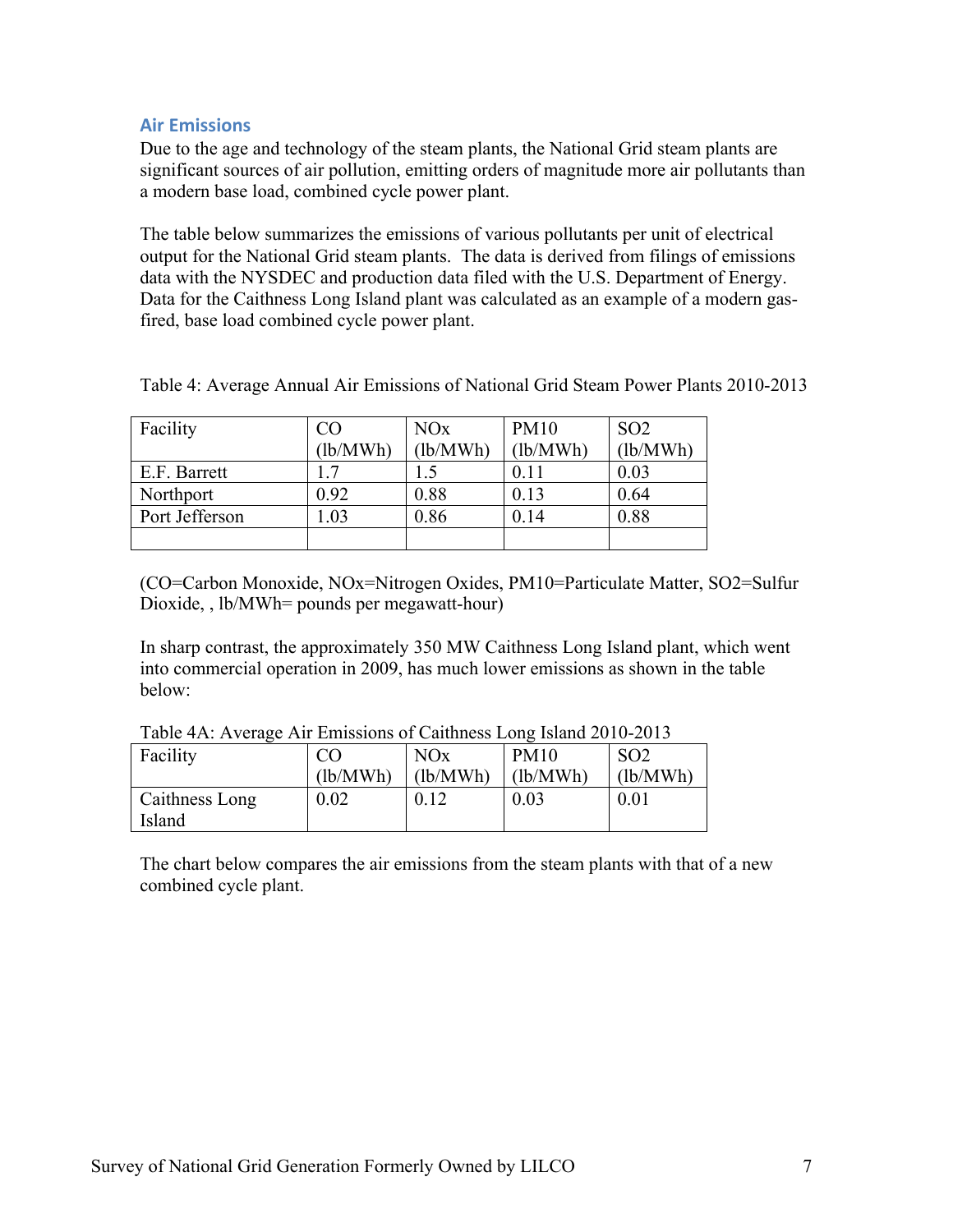### **Air Emissions**

Due to the age and technology of the steam plants, the National Grid steam plants are significant sources of air pollution, emitting orders of magnitude more air pollutants than a modern base load, combined cycle power plant.

The table below summarizes the emissions of various pollutants per unit of electrical output for the National Grid steam plants. The data is derived from filings of emissions data with the NYSDEC and production data filed with the U.S. Department of Energy. Data for the Caithness Long Island plant was calculated as an example of a modern gasfired, base load combined cycle power plant.

| Facility       | CO       | <b>NO<sub>x</sub></b> | <b>PM10</b> | SO <sub>2</sub> |
|----------------|----------|-----------------------|-------------|-----------------|
|                | (lb/MWh) | (lb/MWh)              | (lb/MWh)    | (lb/MWh)        |
| E.F. Barrett   |          |                       | 0.11        | 0.03            |
| Northport      | 0.92     | 0.88                  | 0.13        | 0.64            |
| Port Jefferson | .03      | 0.86                  | 0.14        | 0.88            |
|                |          |                       |             |                 |

Table 4: Average Annual Air Emissions of National Grid Steam Power Plants 2010-2013

(CO=Carbon Monoxide, NOx=Nitrogen Oxides, PM10=Particulate Matter, SO2=Sulfur Dioxide, , lb/MWh= pounds per megawatt-hour)

In sharp contrast, the approximately 350 MW Caithness Long Island plant, which went into commercial operation in 2009, has much lower emissions as shown in the table below:

| Facility              |          | NOx      | <b>PM10</b> | SO <sub>2</sub> |  |  |
|-----------------------|----------|----------|-------------|-----------------|--|--|
|                       | (lb/MWh) | (lb/MWh) | (lb/MWh)    | (lb/MWh)        |  |  |
| <b>Caithness Long</b> | $0.02\,$ | 0.12     | 0.03        | 0.01            |  |  |
| Island                |          |          |             |                 |  |  |

Table 4A: Average Air Emissions of Caithness Long Island 2010-2013

The chart below compares the air emissions from the steam plants with that of a new combined cycle plant.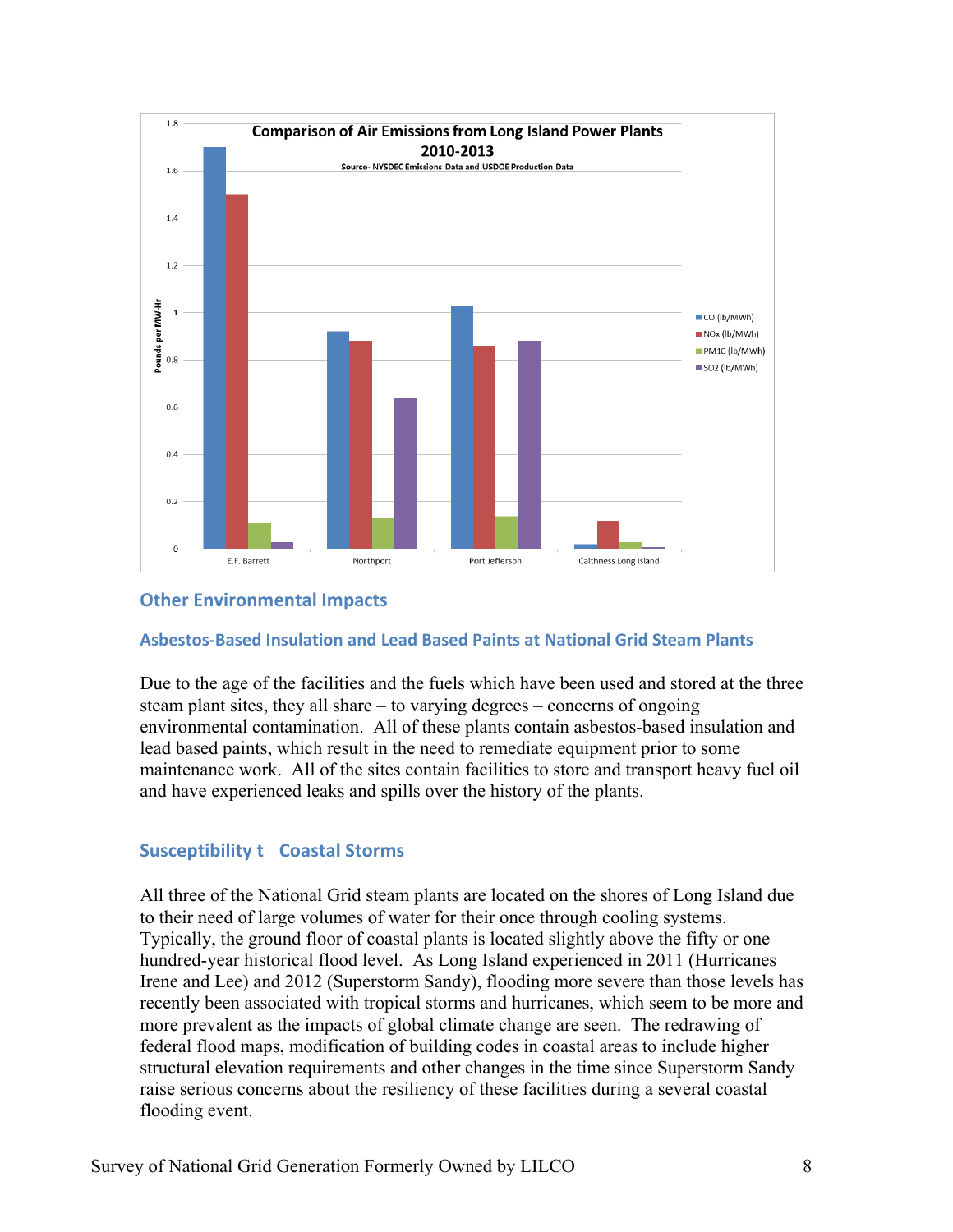

## **Other Environmental Impacts**

#### **Asbestos-Based Insulation and Lead Based Paints at National Grid Steam Plants**

Due to the age of the facilities and the fuels which have been used and stored at the three steam plant sites, they all share – to varying degrees – concerns of ongoing environmental contamination. All of these plants contain asbestos-based insulation and lead based paints, which result in the need to remediate equipment prior to some maintenance work. All of the sites contain facilities to store and transport heavy fuel oil and have experienced leaks and spills over the history of the plants.

### **Susceptibility t Coastal Storms**

flooding event. All three of the National Grid steam plants are located on the shores of Long Island due to their need of large volumes of water for their once through cooling systems. Typically, the ground floor of coastal plants is located slightly above the fifty or one hundred-year historical flood level. As Long Island experienced in 2011 (Hurricanes Irene and Lee) and 2012 (Superstorm Sandy), flooding more severe than those levels has recently been associated with tropical storms and hurricanes, which seem to be more and more prevalent as the impacts of global climate change are seen. The redrawing of federal flood maps, modification of building codes in coastal areas to include higher structural elevation requirements and other changes in the time since Superstorm Sandy raise serious concerns about the resiliency of these facilities during a several coastal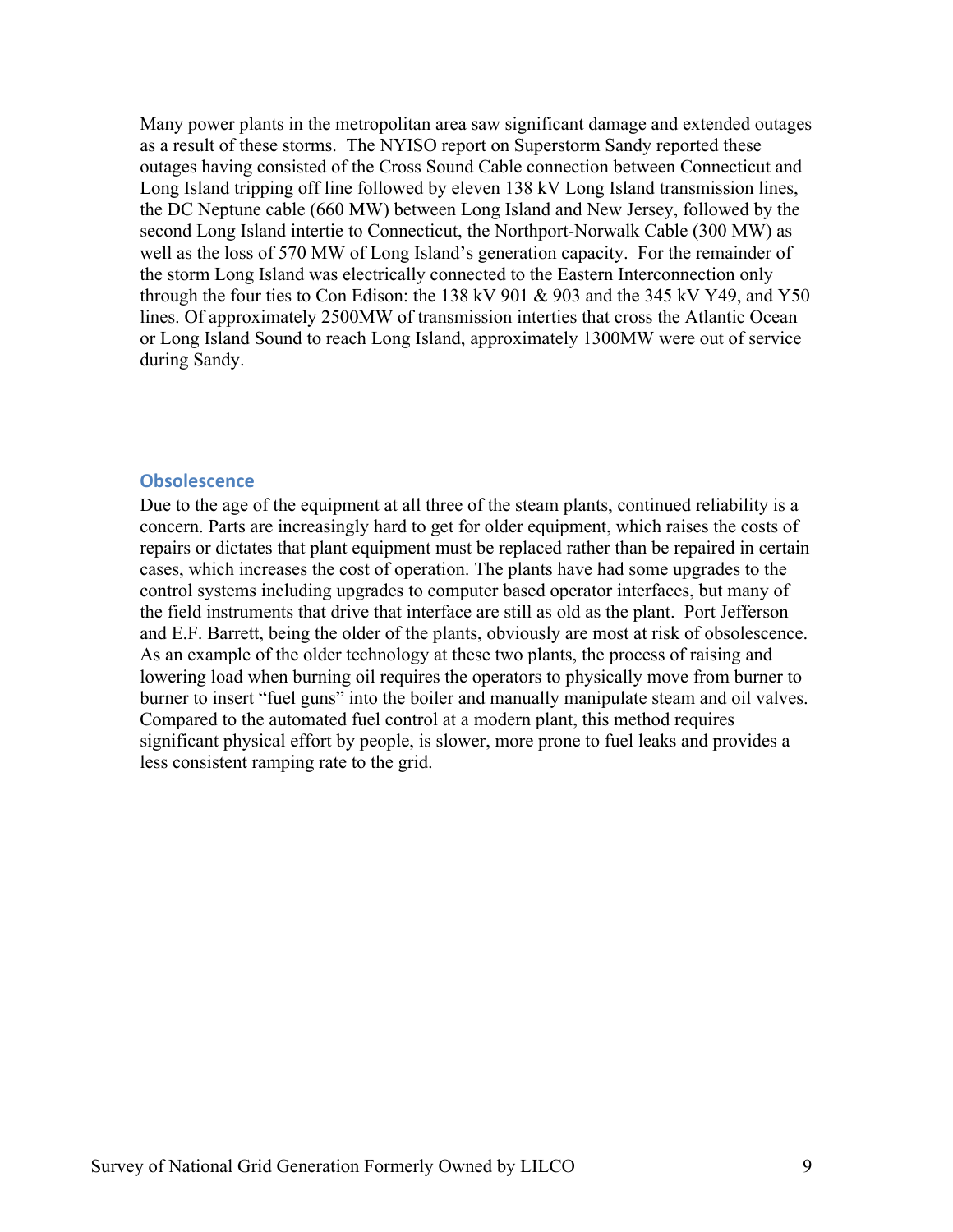as a result of these storms. The NYISO report on Superstorm Sandy reported these Many power plants in the metropolitan area saw significant damage and extended outages outages having consisted of the Cross Sound Cable connection between Connecticut and Long Island tripping off line followed by eleven 138 kV Long Island transmission lines, the DC Neptune cable (660 MW) between Long Island and New Jersey, followed by the second Long Island intertie to Connecticut, the Northport-Norwalk Cable (300 MW) as well as the loss of 570 MW of Long Island's generation capacity. For the remainder of the storm Long Island was electrically connected to the Eastern Interconnection only through the four ties to Con Edison: the 138 kV 901  $&$  903 and the 345 kV Y49, and Y50 lines. Of approximately 2500MW of transmission interties that cross the Atlantic Ocean or Long Island Sound to reach Long Island, approximately 1300MW were out of service during Sandy.

#### **Obsolescence**

 the field instruments that drive that interface are still as old as the plant. Port Jefferson burner to insert "fuel guns" into the boiler and manually manipulate steam and oil valves. Due to the age of the equipment at all three of the steam plants, continued reliability is a concern. Parts are increasingly hard to get for older equipment, which raises the costs of repairs or dictates that plant equipment must be replaced rather than be repaired in certain cases, which increases the cost of operation. The plants have had some upgrades to the control systems including upgrades to computer based operator interfaces, but many of and E.F. Barrett, being the older of the plants, obviously are most at risk of obsolescence. As an example of the older technology at these two plants, the process of raising and lowering load when burning oil requires the operators to physically move from burner to Compared to the automated fuel control at a modern plant, this method requires significant physical effort by people, is slower, more prone to fuel leaks and provides a less consistent ramping rate to the grid.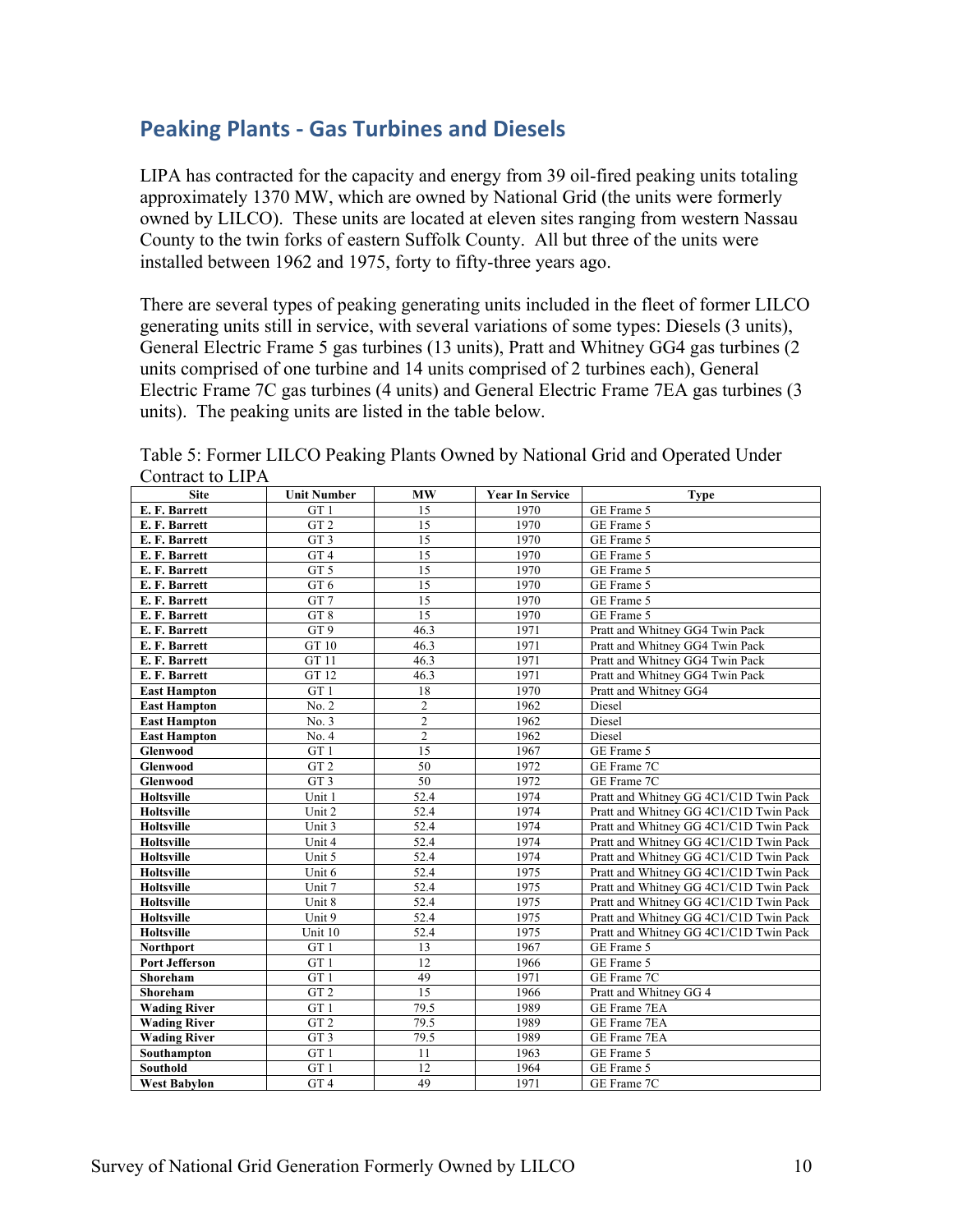# **Peaking Plants - Gas Turbines and Diesels**

LIPA has contracted for the capacity and energy from 39 oil-fired peaking units totaling approximately 1370 MW, which are owned by National Grid (the units were formerly owned by LILCO). These units are located at eleven sites ranging from western Nassau County to the twin forks of eastern Suffolk County. All but three of the units were installed between 1962 and 1975, forty to fifty-three years ago.

 units). The peaking units are listed in the table below. There are several types of peaking generating units included in the fleet of former LILCO generating units still in service, with several variations of some types: Diesels (3 units), General Electric Frame 5 gas turbines (13 units), Pratt and Whitney GG4 gas turbines (2 units comprised of one turbine and 14 units comprised of 2 turbines each), General Electric Frame 7C gas turbines (4 units) and General Electric Frame 7EA gas turbines (3

| <b>Site</b>           | <b>Unit Number</b> | <b>MW</b>               | <b>Year In Service</b> | <b>Type</b>                            |
|-----------------------|--------------------|-------------------------|------------------------|----------------------------------------|
| E. F. Barrett         | GT <sub>1</sub>    | 15                      | 1970                   | GE Frame 5                             |
| E. F. Barrett         | GT <sub>2</sub>    | 15                      | 1970                   | GE Frame 5                             |
| E. F. Barrett         | GT <sub>3</sub>    | 15                      | 1970                   | GE Frame 5                             |
| E. F. Barrett         | GT <sub>4</sub>    | 15                      | 1970                   | GE Frame 5                             |
| E. F. Barrett         | GT <sub>5</sub>    | 15                      | 1970                   | GE Frame 5                             |
| E. F. Barrett         | GT <sub>6</sub>    | 15                      | 1970                   | GE Frame 5                             |
| E. F. Barrett         | GT <sub>7</sub>    | 15                      | 1970                   | GE Frame 5                             |
| E. F. Barrett         | GT8                | 15                      | 1970                   | GE Frame 5                             |
| E. F. Barrett         | GT9                | 46.3                    | 1971                   | Pratt and Whitney GG4 Twin Pack        |
| E. F. Barrett         | GT 10              | 46.3                    | 1971                   | Pratt and Whitney GG4 Twin Pack        |
| E. F. Barrett         | GT 11              | 46.3                    | 1971                   | Pratt and Whitney GG4 Twin Pack        |
| E. F. Barrett         | GT 12              | 46.3                    | 1971                   | Pratt and Whitney GG4 Twin Pack        |
| <b>East Hampton</b>   | GT <sub>1</sub>    | 18                      | 1970                   | Pratt and Whitney GG4                  |
| <b>East Hampton</b>   | No. 2              | $\overline{c}$          | 1962                   | Diesel                                 |
| <b>East Hampton</b>   | No. 3              | $\overline{\mathbf{c}}$ | 1962                   | Diesel                                 |
| <b>East Hampton</b>   | No. 4              | $\overline{2}$          | 1962                   | Diesel                                 |
| Glenwood              | GT <sub>1</sub>    | $\overline{15}$         | 1967                   | GE Frame 5                             |
| Glenwood              | GT <sub>2</sub>    | 50                      | 1972                   | GE Frame 7C                            |
| <b>Glenwood</b>       | GT <sub>3</sub>    | 50                      | 1972                   | GE Frame 7C                            |
| <b>Holtsville</b>     | Unit 1             | 52.4                    | 1974                   | Pratt and Whitney GG 4C1/C1D Twin Pack |
| Holtsville            | Unit 2             | 52.4                    | 1974                   | Pratt and Whitney GG 4C1/C1D Twin Pack |
| Holtsville            | Unit 3             | 52.4                    | 1974                   | Pratt and Whitney GG 4C1/C1D Twin Pack |
| Holtsville            | Unit 4             | 52.4                    | 1974                   | Pratt and Whitney GG 4C1/C1D Twin Pack |
| Holtsville            | Unit 5             | 52.4                    | 1974                   | Pratt and Whitney GG 4C1/C1D Twin Pack |
| Holtsville            | Unit 6             | 52.4                    | 1975                   | Pratt and Whitney GG 4C1/C1D Twin Pack |
| Holtsville            | Unit 7             | 52.4                    | 1975                   | Pratt and Whitney GG 4C1/C1D Twin Pack |
| <b>Holtsville</b>     | Unit 8             | 52.4                    | 1975                   | Pratt and Whitney GG 4C1/C1D Twin Pack |
| Holtsville            | Unit 9             | 52.4                    | 1975                   | Pratt and Whitney GG 4C1/C1D Twin Pack |
| <b>Holtsville</b>     | Unit 10            | 52.4                    | 1975                   | Pratt and Whitney GG 4C1/C1D Twin Pack |
| <b>Northport</b>      | GT <sub>1</sub>    | 13                      | 1967                   | GE Frame 5                             |
| <b>Port Jefferson</b> | GT <sub>1</sub>    | 12                      | 1966                   | GE Frame 5                             |
| Shoreham              | GT <sub>1</sub>    | 49                      | 1971                   | GE Frame 7C                            |
| Shoreham              | GT <sub>2</sub>    | $\overline{15}$         | 1966                   | Pratt and Whitney GG 4                 |
| <b>Wading River</b>   | GT <sub>1</sub>    | 79.5                    | 1989                   | GE Frame 7EA                           |
| <b>Wading River</b>   | GT <sub>2</sub>    | 79.5                    | 1989                   | GE Frame 7EA                           |
| <b>Wading River</b>   | GT <sub>3</sub>    | 79.5                    | 1989                   | GE Frame 7EA                           |
| Southampton           | GT <sub>1</sub>    | 11                      | 1963                   | GE Frame 5                             |
| <b>Southold</b>       | GT <sub>1</sub>    | $\overline{12}$         | 1964                   | GE Frame 5                             |
| <b>West Babylon</b>   | GT <sub>4</sub>    | 49                      | 1971                   | GE Frame 7C                            |

Table 5: Former LILCO Peaking Plants Owned by National Grid and Operated Under Contract to LIPA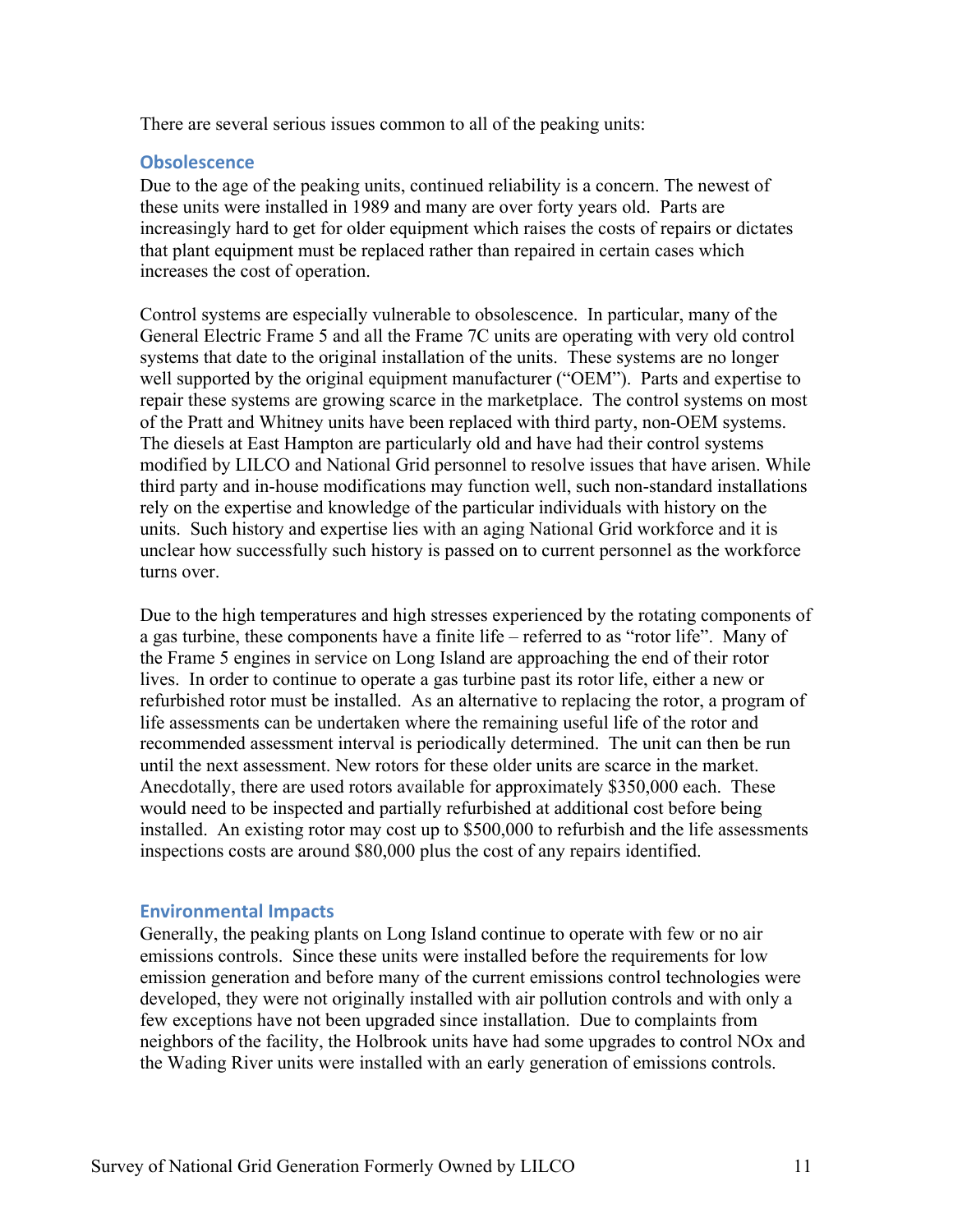There are several serious issues common to all of the peaking units:

#### **Obsolescence**

Due to the age of the peaking units, continued reliability is a concern. The newest of these units were installed in 1989 and many are over forty years old. Parts are increasingly hard to get for older equipment which raises the costs of repairs or dictates that plant equipment must be replaced rather than repaired in certain cases which increases the cost of operation.

Control systems are especially vulnerable to obsolescence. In particular, many of the General Electric Frame 5 and all the Frame 7C units are operating with very old control systems that date to the original installation of the units. These systems are no longer well supported by the original equipment manufacturer ("OEM"). Parts and expertise to repair these systems are growing scarce in the marketplace. The control systems on most of the Pratt and Whitney units have been replaced with third party, non-OEM systems. The diesels at East Hampton are particularly old and have had their control systems modified by LILCO and National Grid personnel to resolve issues that have arisen. While third party and in-house modifications may function well, such non-standard installations rely on the expertise and knowledge of the particular individuals with history on the units. Such history and expertise lies with an aging National Grid workforce and it is unclear how successfully such history is passed on to current personnel as the workforce turns over.

 installed. An existing rotor may cost up to \$500,000 to refurbish and the life assessments Due to the high temperatures and high stresses experienced by the rotating components of a gas turbine, these components have a finite life – referred to as "rotor life". Many of the Frame 5 engines in service on Long Island are approaching the end of their rotor lives. In order to continue to operate a gas turbine past its rotor life, either a new or refurbished rotor must be installed. As an alternative to replacing the rotor, a program of life assessments can be undertaken where the remaining useful life of the rotor and recommended assessment interval is periodically determined. The unit can then be run until the next assessment. New rotors for these older units are scarce in the market. Anecdotally, there are used rotors available for approximately \$350,000 each. These would need to be inspected and partially refurbished at additional cost before being inspections costs are around \$80,000 plus the cost of any repairs identified.

#### **Environmental Impacts**

Generally, the peaking plants on Long Island continue to operate with few or no air emissions controls. Since these units were installed before the requirements for low emission generation and before many of the current emissions control technologies were developed, they were not originally installed with air pollution controls and with only a few exceptions have not been upgraded since installation. Due to complaints from neighbors of the facility, the Holbrook units have had some upgrades to control NOx and the Wading River units were installed with an early generation of emissions controls.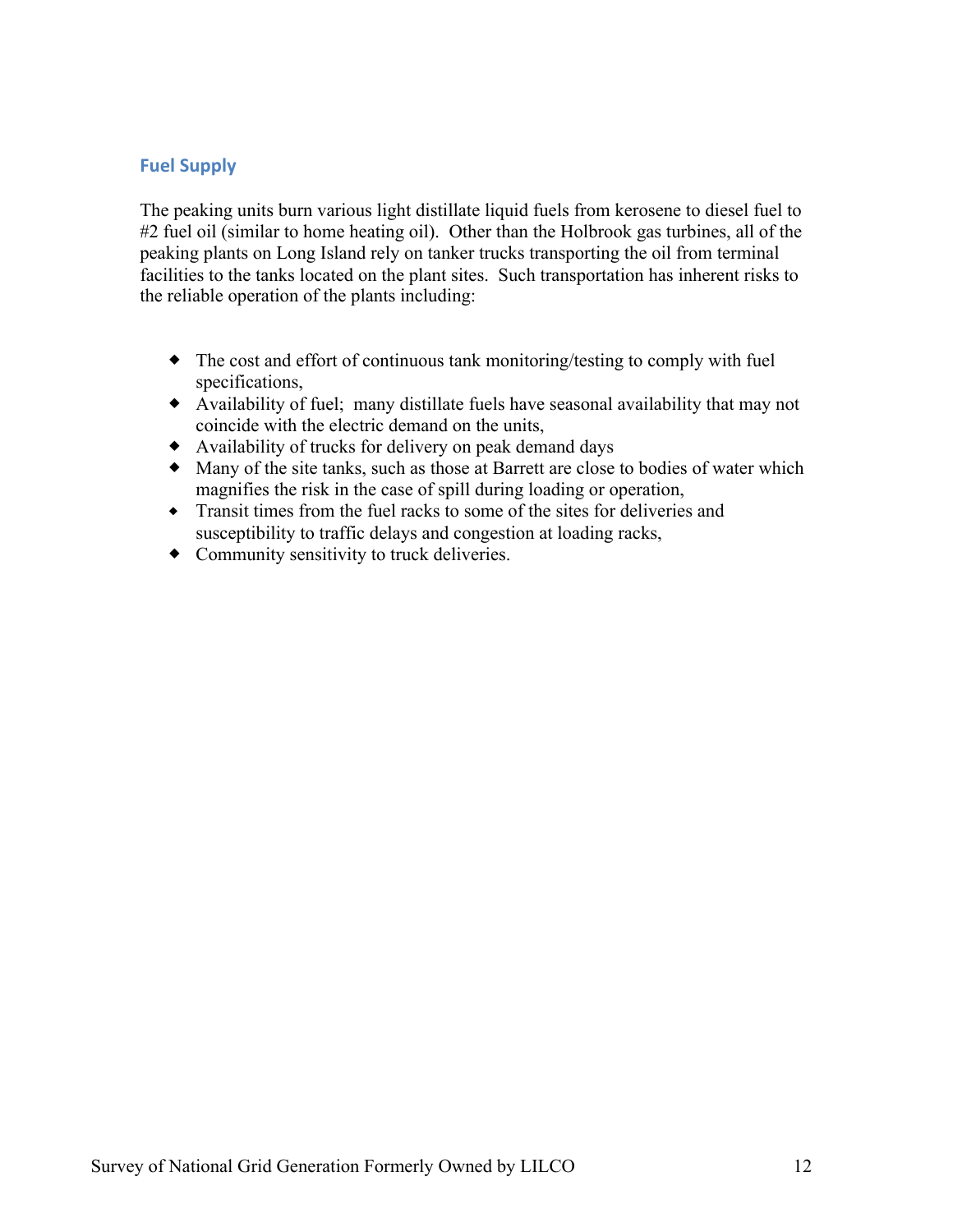## **Fuel Supply**

The peaking units burn various light distillate liquid fuels from kerosene to diesel fuel to #2 fuel oil (similar to home heating oil). Other than the Holbrook gas turbines, all of the peaking plants on Long Island rely on tanker trucks transporting the oil from terminal facilities to the tanks located on the plant sites. Such transportation has inherent risks to the reliable operation of the plants including:

- $\bullet$  The cost and effort of continuous tank monitoring/testing to comply with fuel specifications,
- ® Availability of fuel; many distillate fuels have seasonal availability that may not coincide with the electric demand on the units,
- ® Availability of trucks for delivery on peak demand days
- ® Many of the site tanks, such as those at Barrett are close to bodies of water which magnifies the risk in the case of spill during loading or operation,
- ® Transit times from the fuel racks to some of the sites for deliveries and susceptibility to traffic delays and congestion at loading racks,
- Community sensitivity to truck deliveries.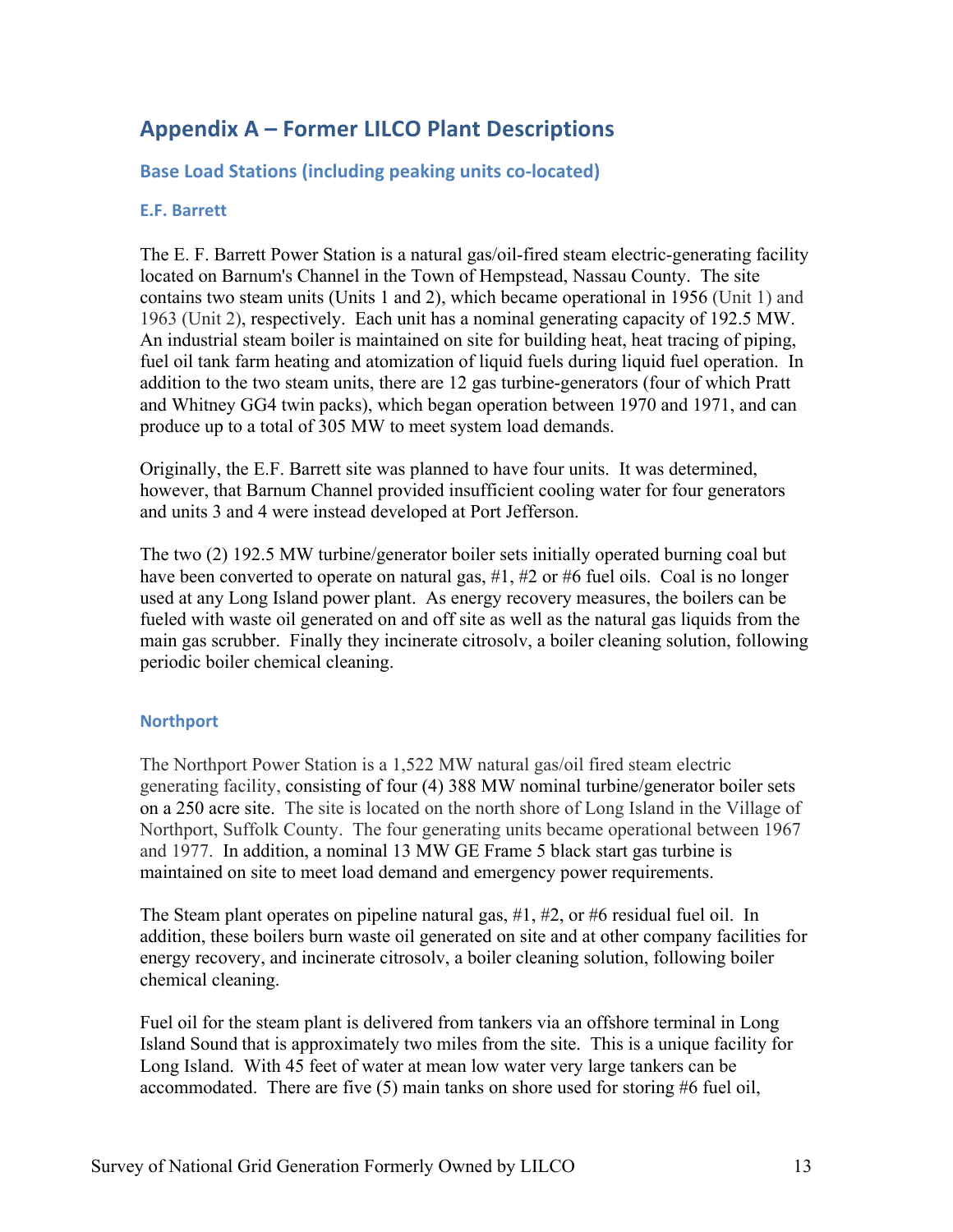# **Appendix A – Former LILCO Plant Descriptions**

**Base Load Stations (including peaking units co-located)** 

#### **E.F. Barrett**

 located on Barnum's Channel in the Town of Hempstead, Nassau County. The site 1963 (Unit 2), respectively. Each unit has a nominal generating capacity of 192.5 MW. The E. F. Barrett Power Station is a natural gas/oil-fired steam electric-generating facility contains two steam units (Units 1 and 2), which became operational in 1956 (Unit 1) and An industrial steam boiler is maintained on site for building heat, heat tracing of piping, fuel oil tank farm heating and atomization of liquid fuels during liquid fuel operation. In addition to the two steam units, there are 12 gas turbine-generators (four of which Pratt and Whitney GG4 twin packs), which began operation between 1970 and 1971, and can produce up to a total of 305 MW to meet system load demands.

Originally, the E.F. Barrett site was planned to have four units. It was determined, however, that Barnum Channel provided insufficient cooling water for four generators and units 3 and 4 were instead developed at Port Jefferson.

 periodic boiler chemical cleaning. The two (2) 192.5 MW turbine/generator boiler sets initially operated burning coal but have been converted to operate on natural gas, #1, #2 or #6 fuel oils. Coal is no longer used at any Long Island power plant. As energy recovery measures, the boilers can be fueled with waste oil generated on and off site as well as the natural gas liquids from the main gas scrubber. Finally they incinerate citrosolv, a boiler cleaning solution, following

#### **Northport**

 Northport, Suffolk County. The four generating units became operational between 1967 and 1977. In addition, a nominal 13 MW GE Frame 5 black start gas turbine is The Northport Power Station is a 1,522 MW natural gas/oil fired steam electric generating facility, consisting of four (4) 388 MW nominal turbine/generator boiler sets on a 250 acre site. The site is located on the north shore of Long Island in the Village of maintained on site to meet load demand and emergency power requirements.

 The Steam plant operates on pipeline natural gas, #1, #2, or #6 residual fuel oil. In addition, these boilers burn waste oil generated on site and at other company facilities for energy recovery, and incinerate citrosolv, a boiler cleaning solution, following boiler chemical cleaning.

 accommodated. There are five (5) main tanks on shore used for storing #6 fuel oil, Fuel oil for the steam plant is delivered from tankers via an offshore terminal in Long Island Sound that is approximately two miles from the site. This is a unique facility for Long Island. With 45 feet of water at mean low water very large tankers can be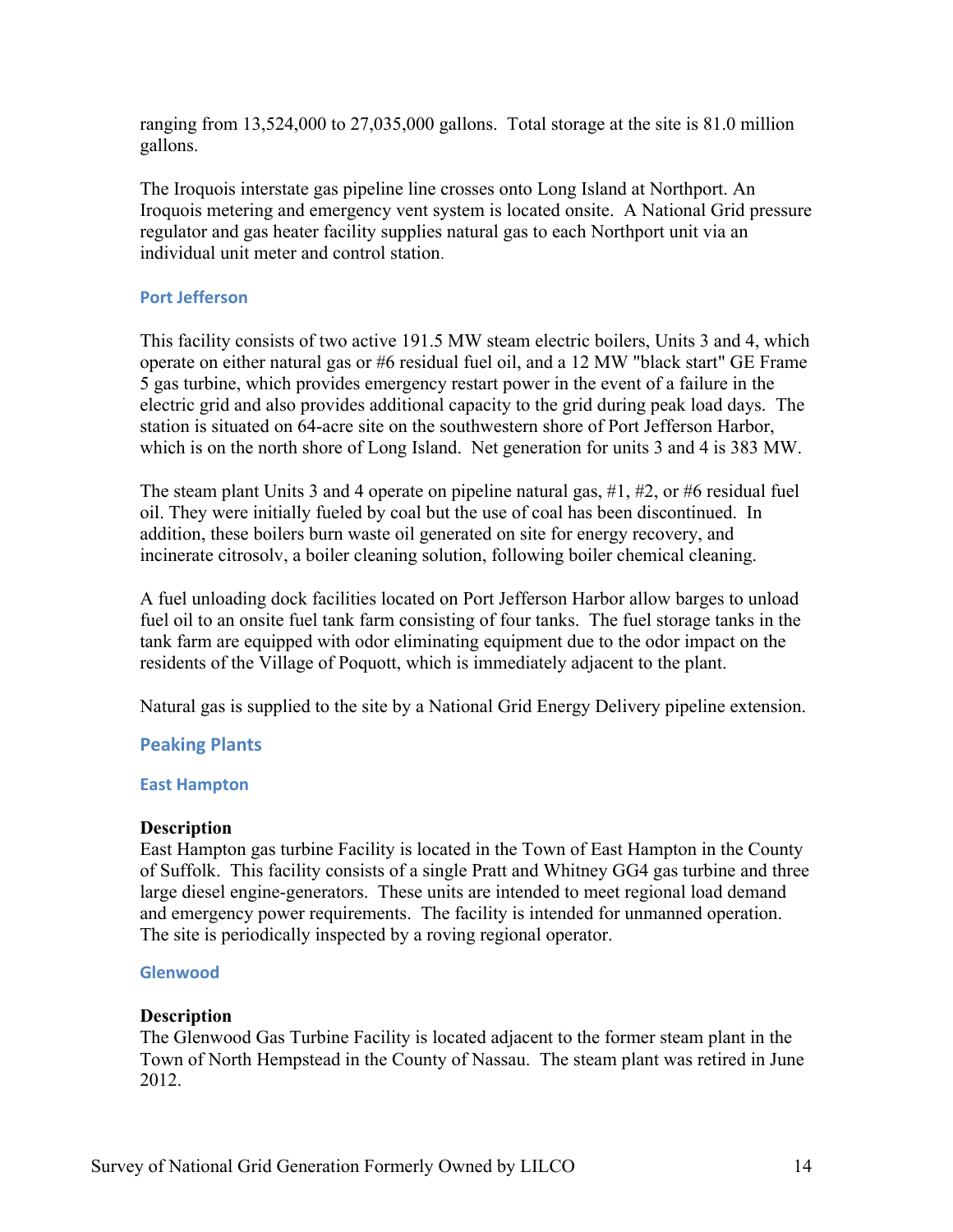ranging from 13,524,000 to 27,035,000 gallons. Total storage at the site is 81.0 million gallons.

 Iroquois metering and emergency vent system is located onsite. A National Grid pressure The Iroquois interstate gas pipeline line crosses onto Long Island at Northport. An regulator and gas heater facility supplies natural gas to each Northport unit via an individual unit meter and control station*.* 

### **Port Jefferson**

 This facility consists of two active 191.5 MW steam electric boilers, Units 3 and 4, which 5 gas turbine, which provides emergency restart power in the event of a failure in the electric grid and also provides additional capacity to the grid during peak load days. The which is on the north shore of Long Island. Net generation for units 3 and 4 is 383 MW. operate on either natural gas or #6 residual fuel oil, and a 12 MW "black start" GE Frame station is situated on 64-acre site on the southwestern shore of Port Jefferson Harbor,

The steam plant Units 3 and 4 operate on pipeline natural gas,  $\#1, \#2$ , or  $\#6$  residual fuel oil. They were initially fueled by coal but the use of coal has been discontinued. In addition, these boilers burn waste oil generated on site for energy recovery, and incinerate citrosolv, a boiler cleaning solution, following boiler chemical cleaning.

A fuel unloading dock facilities located on Port Jefferson Harbor allow barges to unload fuel oil to an onsite fuel tank farm consisting of four tanks. The fuel storage tanks in the tank farm are equipped with odor eliminating equipment due to the odor impact on the residents of the Village of Poquott, which is immediately adjacent to the plant.

Natural gas is supplied to the site by a National Grid Energy Delivery pipeline extension.

### **Peaking Plants**

#### **East Hampton**

#### **Description**

 large diesel engine-generators. These units are intended to meet regional load demand East Hampton gas turbine Facility is located in the Town of East Hampton in the County of Suffolk. This facility consists of a single Pratt and Whitney GG4 gas turbine and three and emergency power requirements. The facility is intended for unmanned operation. The site is periodically inspected by a roving regional operator.

#### **Glenwood**

#### **Description**

 Town of North Hempstead in the County of Nassau. The steam plant was retired in June The Glenwood Gas Turbine Facility is located adjacent to the former steam plant in the 2012.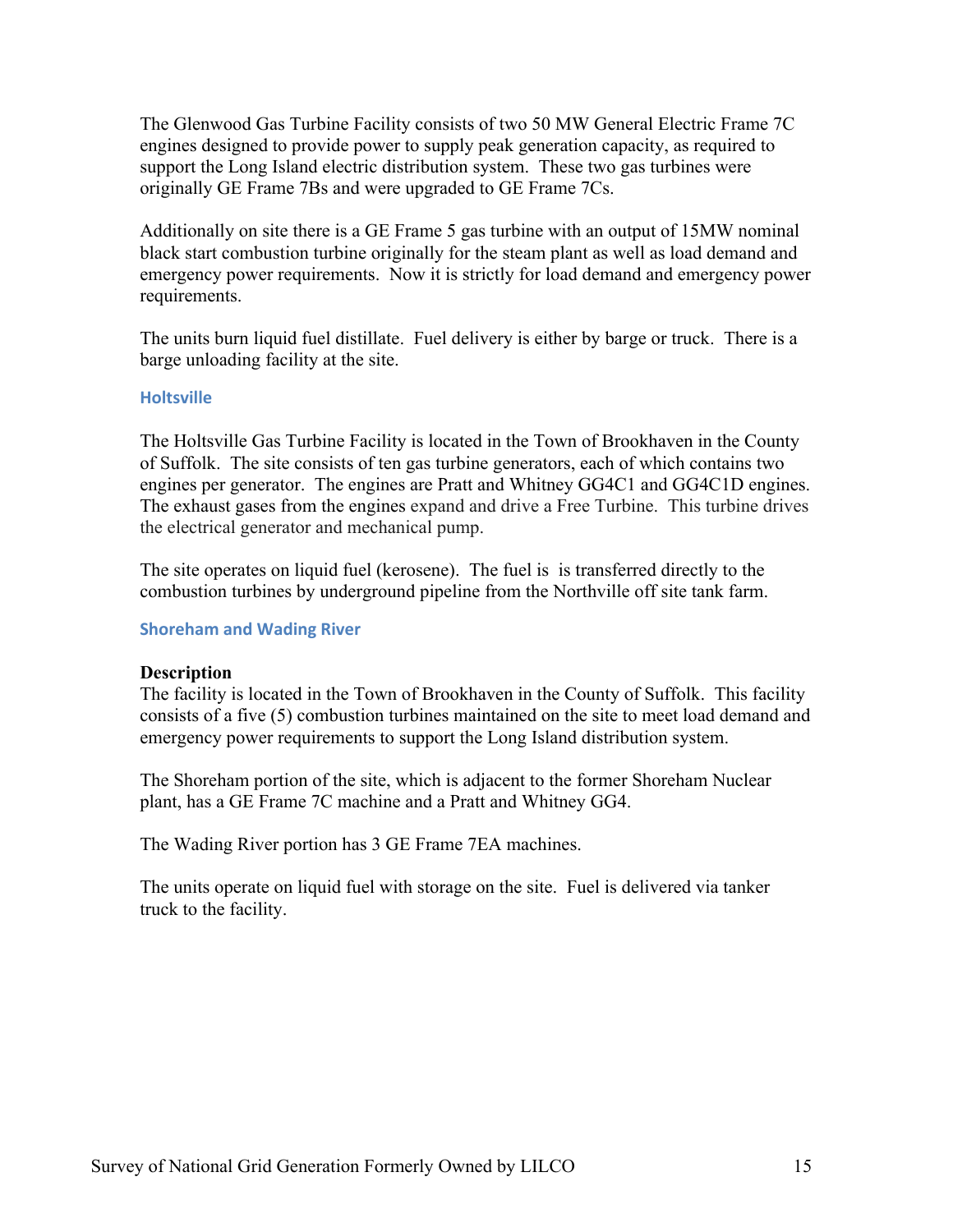support the Long Island electric distribution system. These two gas turbines were The Glenwood Gas Turbine Facility consists of two 50 MW General Electric Frame 7C engines designed to provide power to supply peak generation capacity, as required to originally GE Frame 7Bs and were upgraded to GE Frame 7Cs.

Additionally on site there is a GE Frame 5 gas turbine with an output of 15MW nominal black start combustion turbine originally for the steam plant as well as load demand and emergency power requirements. Now it is strictly for load demand and emergency power requirements.

 The units burn liquid fuel distillate. Fuel delivery is either by barge or truck. There is a barge unloading facility at the site.

#### **Holtsville**

 of Suffolk. The site consists of ten gas turbine generators, each of which contains two The Holtsville Gas Turbine Facility is located in the Town of Brookhaven in the County engines per generator. The engines are Pratt and Whitney GG4C1 and GG4C1D engines. The exhaust gases from the engines expand and drive a Free Turbine. This turbine drives the electrical generator and mechanical pump.

 The site operates on liquid fuel (kerosene). The fuel is is transferred directly to the combustion turbines by underground pipeline from the Northville off site tank farm.

#### **Shoreham and Wading River**

#### **Description**

The facility is located in the Town of Brookhaven in the County of Suffolk. This facility consists of a five (5) combustion turbines maintained on the site to meet load demand and emergency power requirements to support the Long Island distribution system.

The Shoreham portion of the site, which is adjacent to the former Shoreham Nuclear plant, has a GE Frame 7C machine and a Pratt and Whitney GG4.

The Wading River portion has 3 GE Frame 7EA machines.

 The units operate on liquid fuel with storage on the site. Fuel is delivered via tanker truck to the facility.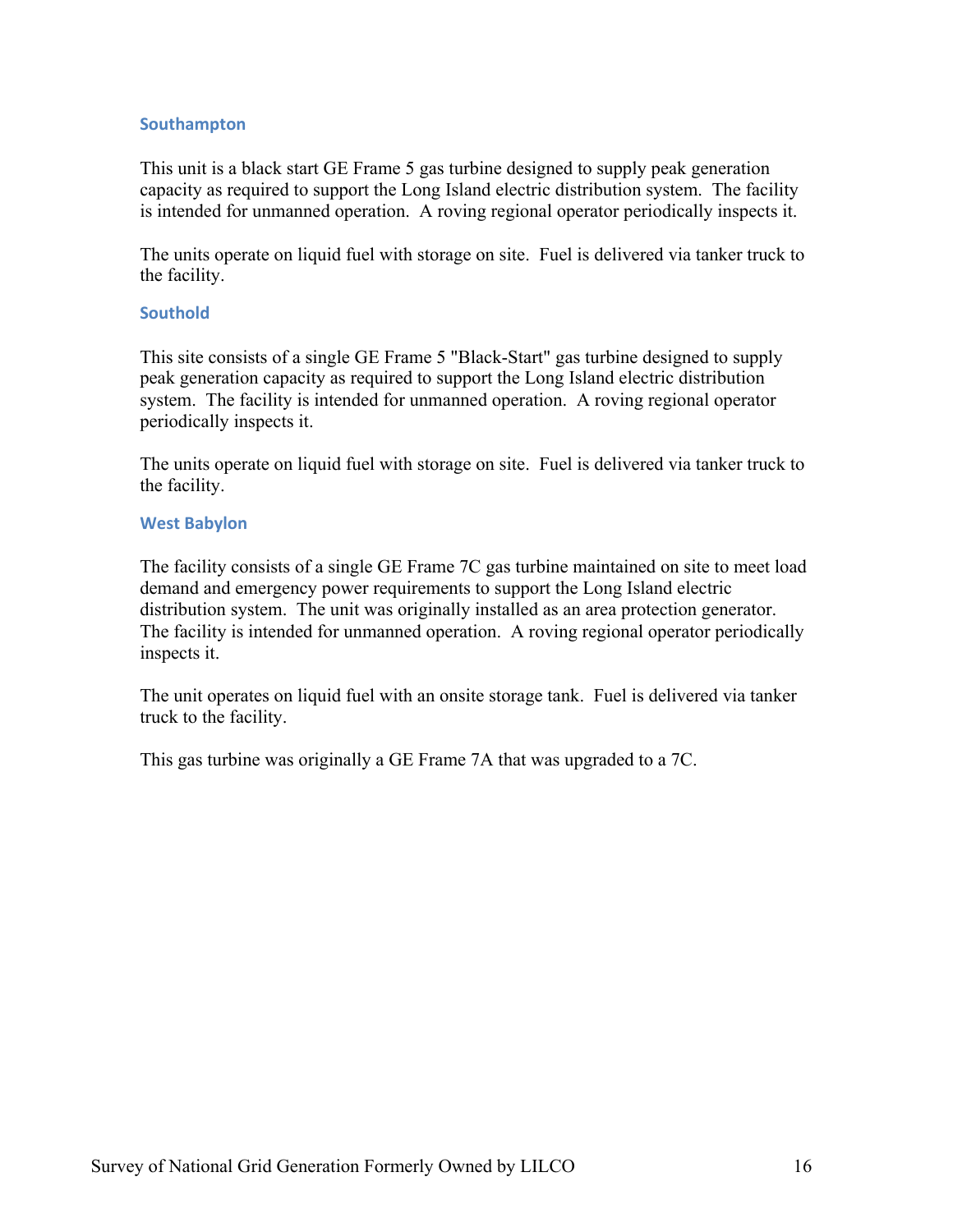#### **Southampton**

This unit is a black start GE Frame 5 gas turbine designed to supply peak generation capacity as required to support the Long Island electric distribution system. The facility is intended for unmanned operation. A roving regional operator periodically inspects it.

 The units operate on liquid fuel with storage on site. Fuel is delivered via tanker truck to the facility.

#### **Southold**

 This site consists of a single GE Frame 5 "Black-Start" gas turbine designed to supply system. The facility is intended for unmanned operation. A roving regional operator peak generation capacity as required to support the Long Island electric distribution periodically inspects it.

 the facility. The units operate on liquid fuel with storage on site. Fuel is delivered via tanker truck to

#### **West Babylon**

 demand and emergency power requirements to support the Long Island electric distribution system. The unit was originally installed as an area protection generator. distribution system. The unit was originally installed as an area protection generator. The facility is intended for unmanned operation. A roving regional operator periodically The facility consists of a single GE Frame 7C gas turbine maintained on site to meet load inspects it.

 The unit operates on liquid fuel with an onsite storage tank. Fuel is delivered via tanker truck to the facility.

This gas turbine was originally a GE Frame 7A that was upgraded to a 7C.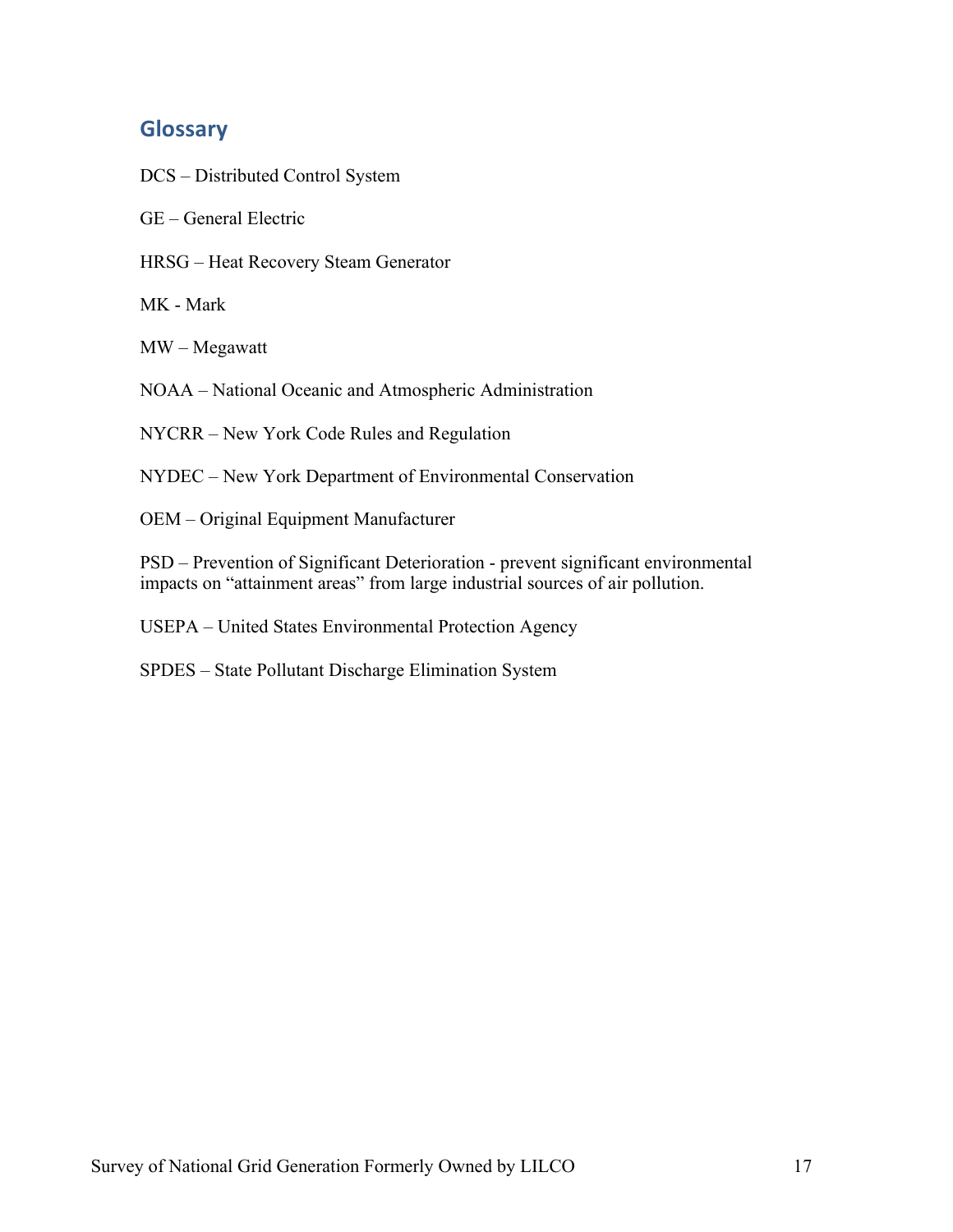# **Glossary**

- DCS Distributed Control System
- GE General Electric
- HRSG Heat Recovery Steam Generator

MK - Mark

MW – Megawatt

NOAA – National Oceanic and Atmospheric Administration

NYCRR – New York Code Rules and Regulation

NYDEC – New York Department of Environmental Conservation

OEM – Original Equipment Manufacturer

PSD – Prevention of Significant Deterioration - prevent significant environmental impacts on "attainment areas" from large industrial sources of air pollution.

USEPA – United States Environmental Protection Agency

SPDES – State Pollutant Discharge Elimination System